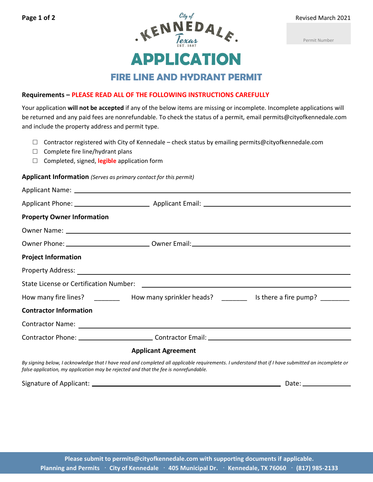Permit Number

**FIRE LINE AND HYDRANT PERMIT**

**APPLICATION**

## **Requirements – PLEASE READ ALL OF THE FOLLOWING INSTRUCTIONS CAREFULLY**

Your application **will not be accepted** if any of the below items are missing or incomplete. Incomplete applications will be returned and any paid fees are nonrefundable. To check the status of a permit, email permits@cityofkennedale.com and include the property address and permit type.

- $\Box$  Contractor registered with City of Kennedale check status by emailing permits@cityofkennedale.com
- $\Box$  Complete fire line/hydrant plans
- □ Completed, signed, **legible** application form

## **Applicant Information** *(Serves as primary contact for this permit)*

| <b>Property Owner Information</b>                                                    |                                                                                                                                                    |
|--------------------------------------------------------------------------------------|----------------------------------------------------------------------------------------------------------------------------------------------------|
|                                                                                      |                                                                                                                                                    |
|                                                                                      |                                                                                                                                                    |
| <b>Project Information</b>                                                           |                                                                                                                                                    |
|                                                                                      |                                                                                                                                                    |
|                                                                                      |                                                                                                                                                    |
|                                                                                      | How many fire lines? ____________ How many sprinkler heads? _____________ Is there a fire pump? _________                                          |
| <b>Contractor Information</b>                                                        |                                                                                                                                                    |
|                                                                                      |                                                                                                                                                    |
|                                                                                      |                                                                                                                                                    |
|                                                                                      | <b>Applicant Agreement</b>                                                                                                                         |
| false application, my application may be rejected and that the fee is nonrefundable. | By signing below, I acknowledge that I have read and completed all applicable requirements. I understand that if I have submitted an incomplete or |

Signature of Applicant: Date: